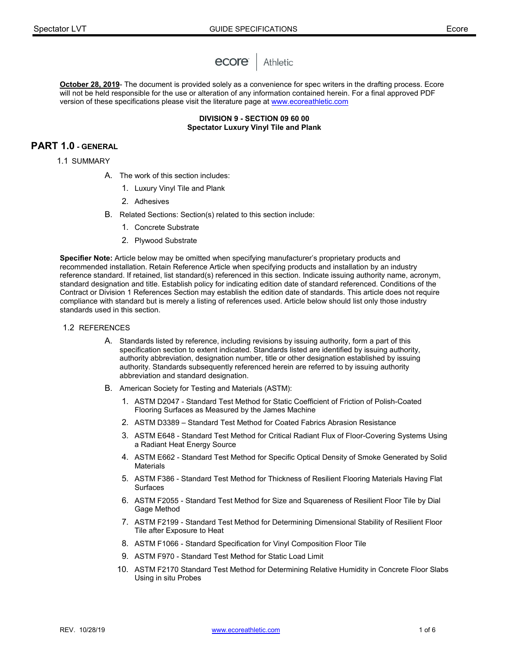

**October 28, 2019**- The document is provided solely as a convenience for spec writers in the drafting process. Ecore will not be held responsible for the use or alteration of any information contained herein. For a final approved PDF version of these specifications please visit the literature page a[t www.ecoreathletic.com](http://www.ecoreathletic.com/)

> **DIVISION 9 - SECTION 09 60 00 Spectator Luxury Vinyl Tile and Plank**

# **PART 1.0 - GENERAL**

1.1 SUMMARY

- A. The work of this section includes:
	- 1. Luxury Vinyl Tile and Plank
	- 2. Adhesives
- B. Related Sections: Section(s) related to this section include:
	- 1. Concrete Substrate
	- 2. Plywood Substrate

**Specifier Note:** Article below may be omitted when specifying manufacturer's proprietary products and recommended installation. Retain Reference Article when specifying products and installation by an industry reference standard. If retained, list standard(s) referenced in this section. Indicate issuing authority name, acronym, standard designation and title. Establish policy for indicating edition date of standard referenced. Conditions of the Contract or Division 1 References Section may establish the edition date of standards. This article does not require compliance with standard but is merely a listing of references used. Article below should list only those industry standards used in this section.

#### 1.2 REFERENCES

- A. Standards listed by reference, including revisions by issuing authority, form a part of this specification section to extent indicated. Standards listed are identified by issuing authority, authority abbreviation, designation number, title or other designation established by issuing authority. Standards subsequently referenced herein are referred to by issuing authority abbreviation and standard designation.
- B. American Society for Testing and Materials (ASTM):
	- 1. ASTM D2047 Standard Test Method for Static Coefficient of Friction of Polish-Coated Flooring Surfaces as Measured by the James Machine
	- 2. ASTM D3389 Standard Test Method for Coated Fabrics Abrasion Resistance
	- 3. ASTM E648 Standard Test Method for Critical Radiant Flux of Floor-Covering Systems Using a Radiant Heat Energy Source
	- 4. ASTM E662 Standard Test Method for Specific Optical Density of Smoke Generated by Solid Materials
	- 5. ASTM F386 Standard Test Method for Thickness of Resilient Flooring Materials Having Flat Surfaces
	- 6. ASTM F2055 Standard Test Method for Size and Squareness of Resilient Floor Tile by Dial Gage Method
	- 7. ASTM F2199 Standard Test Method for Determining Dimensional Stability of Resilient Floor Tile after Exposure to Heat
	- 8. ASTM F1066 Standard Specification for Vinyl Composition Floor Tile
	- 9. ASTM F970 Standard Test Method for Static Load Limit
	- 10. ASTM F2170 Standard Test Method for Determining Relative Humidity in Concrete Floor Slabs Using in situ Probes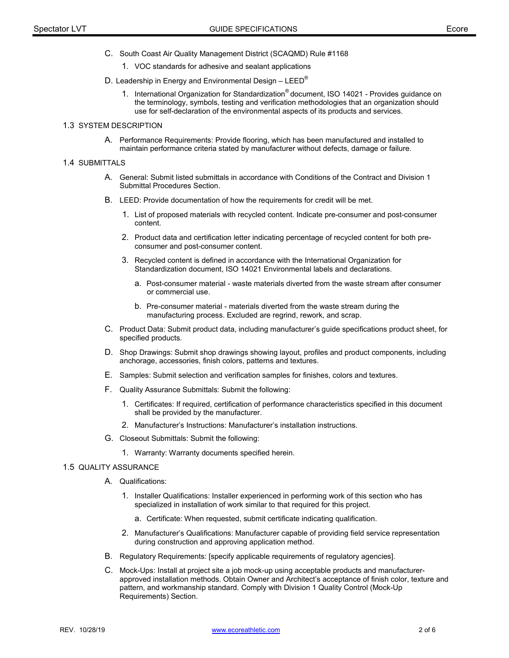- C. South Coast Air Quality Management District (SCAQMD) Rule #1168
	- 1. VOC standards for adhesive and sealant applications
- D. Leadership in Energy and Environmental Design LEED<sup>®</sup>
	- 1. International Organization for Standardization® document, ISO 14021 Provides guidance on the terminology, symbols, testing and verification methodologies that an organization should use for self-declaration of the environmental aspects of its products and services.

# 1.3 SYSTEM DESCRIPTION

A. Performance Requirements: Provide flooring, which has been manufactured and installed to maintain performance criteria stated by manufacturer without defects, damage or failure.

#### 1.4 SUBMITTALS

- A. General: Submit listed submittals in accordance with Conditions of the Contract and Division 1 Submittal Procedures Section.
- B. LEED: Provide documentation of how the requirements for credit will be met.
	- 1. List of proposed materials with recycled content. Indicate pre-consumer and post-consumer content.
	- 2. Product data and certification letter indicating percentage of recycled content for both preconsumer and post-consumer content.
	- 3. Recycled content is defined in accordance with the International Organization for Standardization document, ISO 14021 Environmental labels and declarations.
		- a. Post-consumer material waste materials diverted from the waste stream after consumer or commercial use.
		- b. Pre-consumer material materials diverted from the waste stream during the manufacturing process. Excluded are regrind, rework, and scrap.
- C. Product Data: Submit product data, including manufacturer's guide specifications product sheet, for specified products.
- D. Shop Drawings: Submit shop drawings showing layout, profiles and product components, including anchorage, accessories, finish colors, patterns and textures.
- E. Samples: Submit selection and verification samples for finishes, colors and textures.
- F. Quality Assurance Submittals: Submit the following:
	- 1. Certificates: If required, certification of performance characteristics specified in this document shall be provided by the manufacturer.
	- 2. Manufacturer's Instructions: Manufacturer's installation instructions.
- G. Closeout Submittals: Submit the following:
	- 1. Warranty: Warranty documents specified herein.

### 1.5 QUALITY ASSURANCE

- A. Qualifications:
	- 1. Installer Qualifications: Installer experienced in performing work of this section who has specialized in installation of work similar to that required for this project.
		- a. Certificate: When requested, submit certificate indicating qualification.
	- 2. Manufacturer's Qualifications: Manufacturer capable of providing field service representation during construction and approving application method.
- B. Regulatory Requirements: [specify applicable requirements of regulatory agencies].
- C. Mock-Ups: Install at project site a job mock-up using acceptable products and manufacturerapproved installation methods. Obtain Owner and Architect's acceptance of finish color, texture and pattern, and workmanship standard. Comply with Division 1 Quality Control (Mock-Up Requirements) Section.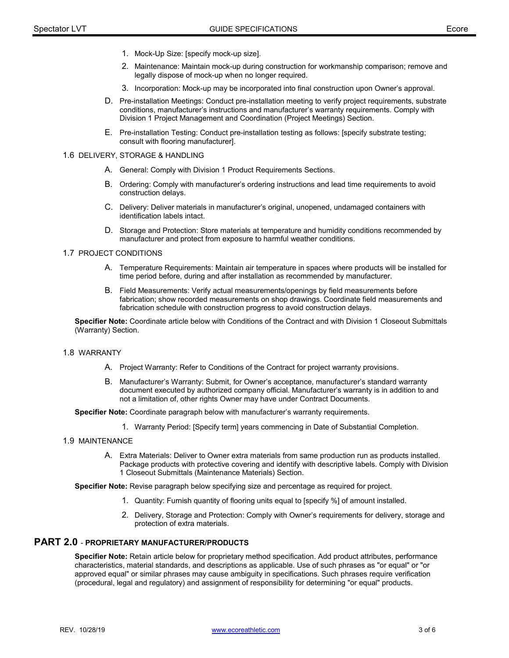- 1. Mock-Up Size: [specify mock-up size].
- 2. Maintenance: Maintain mock-up during construction for workmanship comparison; remove and legally dispose of mock-up when no longer required.
- 3. Incorporation: Mock-up may be incorporated into final construction upon Owner's approval.
- D. Pre-installation Meetings: Conduct pre-installation meeting to verify project requirements, substrate conditions, manufacturer's instructions and manufacturer's warranty requirements. Comply with Division 1 Project Management and Coordination (Project Meetings) Section.
- E. Pre-installation Testing: Conduct pre-installation testing as follows: [specify substrate testing; consult with flooring manufacturer].

#### 1.6 DELIVERY, STORAGE & HANDLING

- A. General: Comply with Division 1 Product Requirements Sections.
- B. Ordering: Comply with manufacturer's ordering instructions and lead time requirements to avoid construction delays.
- C. Delivery: Deliver materials in manufacturer's original, unopened, undamaged containers with identification labels intact.
- D. Storage and Protection: Store materials at temperature and humidity conditions recommended by manufacturer and protect from exposure to harmful weather conditions.

### 1.7 PROJECT CONDITIONS

- A. Temperature Requirements: Maintain air temperature in spaces where products will be installed for time period before, during and after installation as recommended by manufacturer.
- B. Field Measurements: Verify actual measurements/openings by field measurements before fabrication; show recorded measurements on shop drawings. Coordinate field measurements and fabrication schedule with construction progress to avoid construction delays.

**Specifier Note:** Coordinate article below with Conditions of the Contract and with Division 1 Closeout Submittals (Warranty) Section.

### 1.8 WARRANTY

- A. Project Warranty: Refer to Conditions of the Contract for project warranty provisions.
- B. Manufacturer's Warranty: Submit, for Owner's acceptance, manufacturer's standard warranty document executed by authorized company official. Manufacturer's warranty is in addition to and not a limitation of, other rights Owner may have under Contract Documents.

**Specifier Note:** Coordinate paragraph below with manufacturer's warranty requirements.

- 1. Warranty Period: [Specify term] years commencing in Date of Substantial Completion.
- 1.9 MAINTENANCE
	- A. Extra Materials: Deliver to Owner extra materials from same production run as products installed. Package products with protective covering and identify with descriptive labels. Comply with Division 1 Closeout Submittals (Maintenance Materials) Section.

**Specifier Note:** Revise paragraph below specifying size and percentage as required for project.

- 1. Quantity: Furnish quantity of flooring units equal to [specify %] of amount installed.
- 2. Delivery, Storage and Protection: Comply with Owner's requirements for delivery, storage and protection of extra materials.

# **PART 2.0** - **PROPRIETARY MANUFACTURER/PRODUCTS**

**Specifier Note:** Retain article below for proprietary method specification. Add product attributes, performance characteristics, material standards, and descriptions as applicable. Use of such phrases as "or equal" or "or approved equal" or similar phrases may cause ambiguity in specifications. Such phrases require verification (procedural, legal and regulatory) and assignment of responsibility for determining "or equal" products.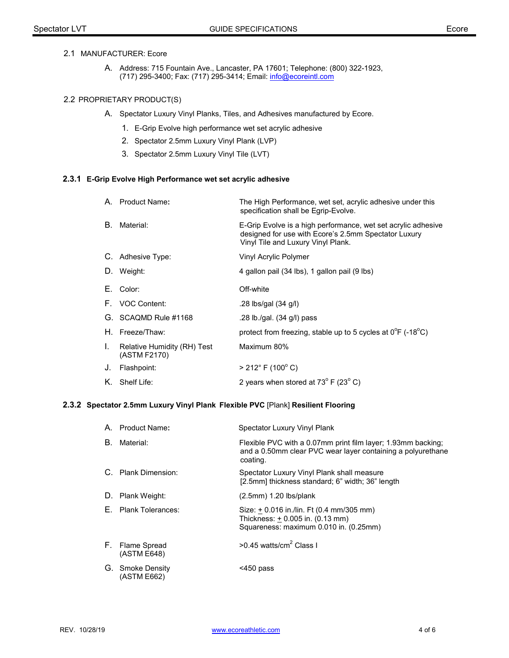## 2.1 MANUFACTURER: Ecore

A. Address: 715 Fountain Ave., Lancaster, PA 17601; Telephone: (800) 322-1923, (717) 295-3400; Fax: (717) 295-3414; Email[: info@ecoreintl.com](mailto:info@ecoreintl.com)

# 2.2 PROPRIETARY PRODUCT(S)

- A. Spectator Luxury Vinyl Planks, Tiles, and Adhesives manufactured by Ecore.
	- 1. E-Grip Evolve high performance wet set acrylic adhesive
	- 2. Spectator 2.5mm Luxury Vinyl Plank (LVP)
	- 3. Spectator 2.5mm Luxury Vinyl Tile (LVT)

## **2.3.1 E-Grip Evolve High Performance wet set acrylic adhesive**

|    | A. Product Name <b>:</b>                    | The High Performance, wet set, acrylic adhesive under this<br>specification shall be Egrip-Evolve.                                                          |
|----|---------------------------------------------|-------------------------------------------------------------------------------------------------------------------------------------------------------------|
| В. | Material:                                   | E-Grip Evolve is a high performance, wet set acrylic adhesive<br>designed for use with Ecore's 2.5mm Spectator Luxury<br>Vinyl Tile and Luxury Vinyl Plank. |
|    | C. Adhesive Type:                           | Vinyl Acrylic Polymer                                                                                                                                       |
|    | D. Weight:                                  | 4 gallon pail (34 lbs), 1 gallon pail (9 lbs)                                                                                                               |
|    | E. Color:                                   | Off-white                                                                                                                                                   |
|    | F. VOC Content:                             | .28 lbs/gal $(34 \text{ g/l})$                                                                                                                              |
|    | G. SCAQMD Rule #1168                        | .28 lb./gal. (34 g/l) pass                                                                                                                                  |
|    | H. Freeze/Thaw:                             | protect from freezing, stable up to 5 cycles at $0^{\circ}F$ (-18 $^{\circ}C$ )                                                                             |
| I. | Relative Humidity (RH) Test<br>(ASTM F2170) | Maximum 80%                                                                                                                                                 |
| J. | Flashpoint:                                 | $> 212^{\circ}$ F (100 $^{\circ}$ C)                                                                                                                        |
|    | K. Shelf Life:                              | 2 years when stored at $73^{\circ}$ F (23 $^{\circ}$ C)                                                                                                     |

### **2.3.2 Spectator 2.5mm Luxury Vinyl Plank Flexible PVC** [Plank] **Resilient Flooring**

|    | A. Product Name <b>:</b>        | Spectator Luxury Vinyl Plank                                                                                                            |
|----|---------------------------------|-----------------------------------------------------------------------------------------------------------------------------------------|
| В. | Material:                       | Flexible PVC with a 0.07mm print film layer; 1.93mm backing;<br>and a 0.50mm clear PVC wear layer containing a polyurethane<br>coating. |
|    | C. Plank Dimension:             | Spectator Luxury Vinyl Plank shall measure<br>[2.5mm] thickness standard; 6" width; 36" length                                          |
|    | D. Plank Weight:                | $(2.5$ mm $)$ 1.20 lbs/plank                                                                                                            |
|    | E. Plank Tolerances:            | Size: + 0.016 in./lin. Ft (0.4 mm/305 mm)<br>Thickness: + 0.005 in. (0.13 mm)<br>Squareness: maximum 0.010 in. (0.25mm)                 |
|    | F. Flame Spread<br>(ASTM E648)  | $>0.45$ watts/cm <sup>2</sup> Class I                                                                                                   |
|    | G. Smoke Density<br>(ASTM E662) | $<$ 450 pass                                                                                                                            |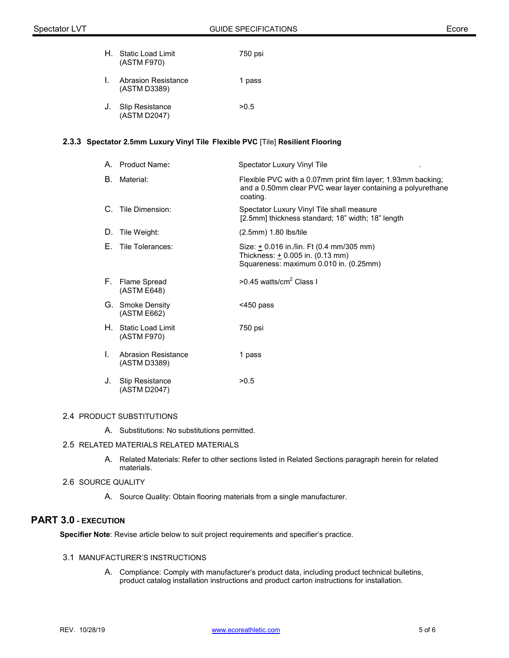| H. | Static Load Limit<br>(ASTM F970)    | 750 psi |
|----|-------------------------------------|---------|
| L. | Abrasion Resistance<br>(ASTM D3389) | 1 pass  |
|    | J. Slip Resistance<br>(ASTM D2047)  | > 0.5   |

# **2.3.3 Spectator 2.5mm Luxury Vinyl Tile Flexible PVC** [Tile] **Resilient Flooring**

|    | A. Product Name:                           | Spectator Luxury Vinyl Tile                                                                                                             |
|----|--------------------------------------------|-----------------------------------------------------------------------------------------------------------------------------------------|
| В. | Material:                                  | Flexible PVC with a 0.07mm print film layer; 1.93mm backing;<br>and a 0.50mm clear PVC wear layer containing a polyurethane<br>coating. |
| C. | Tile Dimension:                            | Spectator Luxury Vinyl Tile shall measure<br>[2.5mm] thickness standard; 18" width; 18" length                                          |
| D. | Tile Weight:                               | $(2.5mm)$ 1.80 lbs/tile                                                                                                                 |
| E. | Tile Tolerances:                           | Size: + 0.016 in./lin. Ft (0.4 mm/305 mm)<br>Thickness: $+$ 0.005 in. (0.13 mm)<br>Squareness: maximum 0.010 in. (0.25mm)               |
|    | F. Flame Spread<br>(ASTM E648)             | $>0.45$ watts/cm <sup>2</sup> Class I                                                                                                   |
|    | G. Smoke Density<br>(ASTM E662)            | $<$ 450 pass                                                                                                                            |
|    | H. Static Load Limit<br>(ASTM F970)        | 750 psi                                                                                                                                 |
| L. | <b>Abrasion Resistance</b><br>(ASTM D3389) | 1 pass                                                                                                                                  |
| J. | Slip Resistance<br>(ASTM D2047)            | >0.5                                                                                                                                    |

# 2.4 PRODUCT SUBSTITUTIONS

A. Substitutions: No substitutions permitted.

# 2.5 RELATED MATERIALS RELATED MATERIALS

A. Related Materials: Refer to other sections listed in Related Sections paragraph herein for related materials.

# 2.6 SOURCE QUALITY

A. Source Quality: Obtain flooring materials from a single manufacturer.

# **PART 3.0 - EXECUTION**

**Specifier Note**: Revise article below to suit project requirements and specifier's practice.

### 3.1 MANUFACTURER'S INSTRUCTIONS

A. Compliance: Comply with manufacturer's product data, including product technical bulletins, product catalog installation instructions and product carton instructions for installation.